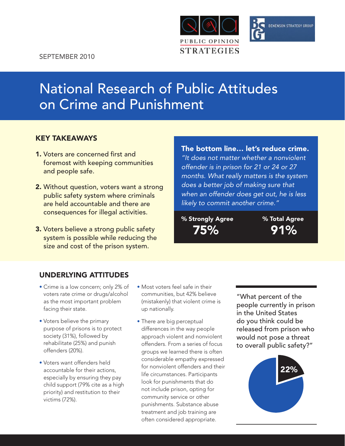



# National Research of Public Attitudes on Crime and Punishment

## Key TakeawayS

- 1. Voters are concerned first and foremost with keeping communities and people safe.
- 2. Without question, voters want a strong public safety system where criminals are held accountable and there are consequences for illegal activities.
- 3. Voters believe a strong public safety system is possible while reducing the size and cost of the prison system.

## The bottom line… let's reduce crime.

*"It does not matter whether a nonviolent offender is in prison for 21 or 24 or 27 months. What really matters is the system does a better job of making sure that when an offender does get out, he is less likely to commit another crime."*

% Strongly Agree % Total Agree

75% 91%

# Underlying Attitudes

- Crime is a low concern; only 2% of voters rate crime or drugs/alcohol as the most important problem facing their state.
- Voters believe the primary purpose of prisons is to protect society (31%), followed by rehabilitate (25%) and punish offenders (20%).
- Voters want offenders held accountable for their actions, especially by ensuring they pay child support (79% cite as a high priority) and restitution to their victims (72%).
- Most voters feel safe in their communities, but 42% believe (mistakenly) that violent crime is up nationally.
- There are big perceptual differences in the way people approach violent and nonviolent offenders. From a series of focus groups we learned there is often considerable empathy expressed for nonviolent offenders and their life circumstances. Participants look for punishments that do not include prison, opting for community service or other punishments. Substance abuse treatment and job training are often considered appropriate.

"What percent of the people currently in prison in the United States do you think could be released from prison who would not pose a threat to overall public safety?"

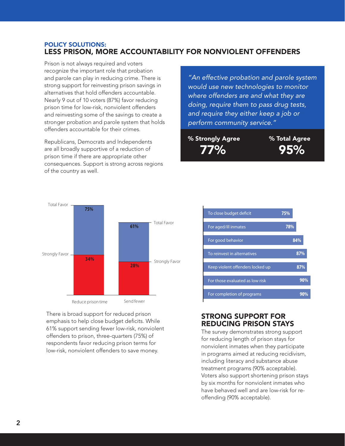#### POLICY SOLUTIONS: Less Prison, More Accountability for Nonviolent Offenders

Prison is not always required and voters recognize the important role that probation redegives the imperialm fore that presenter.<br>and parole can play in reducing crime. There is strong support for reinvesting prison savings in alternatives that hold offenders accountable. Nearly 9 out of 10 voters (87%) favor reducing prison time for low-risk, nonviolent offenders and reinvesting some of the savings to create a stronger probation and parole system that holds  $\begin{array}{|c|c|c|}\n\hline\n\end{array}$ offenders accountable for their crimes. Raising business taxes

Republicans, Democrats and Independents are all broadly supportive of a reduction of Reducing funding for state prisons prison time if there are appropriate other consequences. Support is strong across regions of the country as well.



There is broad support for reduced prison emphasis to help close budget deficits. While **61%** 61% support sending fewer low-risk, nonviolent offenders to prison, three-quarters (75%) of respondents favor reducing prison terms for low-risk, nonviolent offenders to save money. **28%**

*"An effective probation and parole system*  **71% 23%** *would use new technologies to monitor*  **60% 21%** *where offenders are and what they are doing, require them to pass drug tests,*  **58%** *and require they either keep a job or*  perform community service."

% Strongly Agree **3988** % Total Agree 77% 95% **84%**  $\frac{1}{2}$ 

To reinvest in alternatives



**87%**

| To close budget deficit          | 75% |
|----------------------------------|-----|
| For aged/ill inmates             | 78% |
| For good behavior                | 84% |
| To reinvest in alternatives      | 87% |
| Keep violent offenders locked up | 87% |
| For those evaluated as low risk  | 90% |
| For completion of programs       |     |

#### Strong support for reducing prison stays

The survey demonstrates strong support for reducing length of prison stays for nonviolent inmates when they participate in programs aimed at reducing recidivism, including literacy and substance abuse treatment programs (90% acceptable). Voters also support shortening prison stays by six months for nonviolent inmates who have behaved well and are low-risk for reoffending (90% acceptable).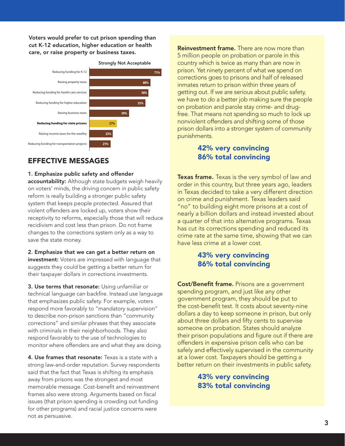Voters would prefer to cut prison spending than cut K-12 education, higher education or health cut N-12 equeation, nigher equeation or health<br>care, or raise property or business taxes.



## Effective Messages

#### 1. Emphasize public safety and offender

accountability: Although state budgets weigh heavily on voters' minds, the driving concern in public safety reform is really building a stronger public safety system that keeps people protected. Assured that violent offenders are locked up, voters show their receptivity to reforms, especially those that will reduce recidivism and cost less than prison. Do not frame changes to the corrections system only as a way to save the state money.

2. Emphasize that we can get a better return on investment: Voters are impressed with language that **34%** an common terms are improved that they goed.<br>Suggests they could be getting a better return for their taxpayer dollars in corrections investments.

3. Use terms that resonate: Using unfamiliar or technical language can backfire. Instead use language that emphasizes public safety. For example, voters respond more favorably to "mandatory supervision" to describe non-prison sanctions than "community corrections" and similar phrases that they associate with criminals in their neighborhoods. They also respond favorably to the use of technologies to monitor where offenders are and what they are doing.

4. Use frames that resonate: Texas is a state with a strong law-and-order reputation. Survey respondents said that the fact that Texas is shifting its emphasis away from prisons was the strongest and most memorable message. Cost-benefit and reinvestment frames also were strong. Arguments based on fiscal issues (that prison spending is crowding out funding for other programs) and racial justice concerns were not as persuasive.

5 million people on probation or parole in this country which is twice as many than are now in prison. Yet ninety percent of what we spend on corrections goes to prisons and half of released inmates return to prison within three years of getting out. If we are serious about public safety, we have to do a better job making sure the people on probation and parole stay crime- and drugfree. That means not spending so much to lock up nonviolent offenders and shifting some of those prison dollars into a stronger system of community punishments.

## 42% very convincing 86% total convincing

**Texas frame.** Texas is the very symbol of law and order in this country, but three years ago, leaders in Texas decided to take a very different direction on crime and punishment. Texas leaders said "no" to building eight more prisons at a cost of nearly a billion dollars and instead invested about a quarter of that into alternative programs. Texas has cut its corrections spending and reduced its crime rate at the same time, showing that we can have less crime at a lower cost.

#### 43% very convincing 86% total convincing

Cost/Benefit frame. Prisons are a government spending program, and just like any other government program, they should be put to the cost-benefit test. It costs about seventy-nine dollars a day to keep someone in prison, but only about three dollars and fifty cents to supervise someone on probation. States should analyze their prison populations and figure out if there are offenders in expensive prison cells who can be safely and effectively supervised in the community at a lower cost. Taxpayers should be getting a better return on their investments in public safety.

## 43% very convincing 83% total convincing